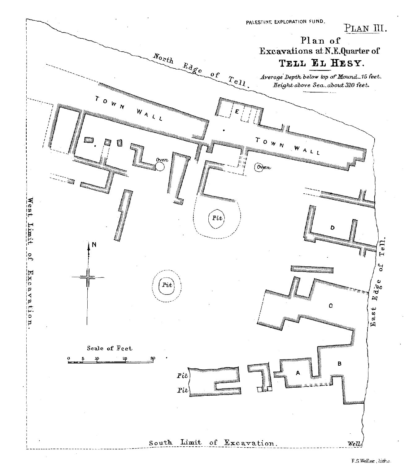PALESTINE EXPLORATION FUND.

PLAN III.

## Plan of Excavations at N.E.Quarter of TELL EL HESY.



South Limit of Excavation.

F.S.Weller, litho.

Well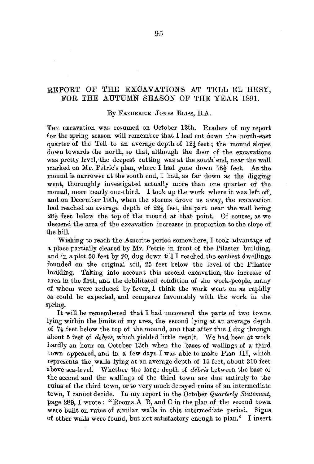## REPORT OF THE EXCAVATIONS AT TELL EL HESY. FOR THE AUTUMN SEASON OF THE YEAR 1891.

## By FREDERICK JONES BLISS, B.A.

THE excavation was resumed on October 13th. Readers of my report for the spring season will remember that I had cut down the north-east quarter of the Tell to an average depth of  $12\frac{1}{4}$  feet; the mound slopes down towards the north, so that, although the floor of the excavations was pretty level, the deepest cutting was at the south end, near the wall marked on Mr. Petrie's plan, where I had gone down 18½ feet. As the mound is narrower at the south end, I had, as far down as the digging went, thoroughly investigated actually more than one quarter of the mound, more nearly one-third. I took up the work where it was left off, and on December 19th, when the storms drove us away, the excavation had reached an average depth of 22½ feet, the part near the wall being  $28\frac{1}{2}$  feet below the top of the mound at that point. Of course, as we descend the area of the excavation increases in proportion to the slope of the hill.

Wishing to reach the Amorite period somewhere, I took advantage of a place partially cleared by Mr. Petrie in front of the Pilaster building, and in a plot 50 feet by 20, dug down till I reached the earliest dwellings founded on the original soil, 25 feet below the level of the Pilaster building. Taking into account this second excavation, the increase of area in the first, and the debilitated condition of the work-people, many of whom were reduced by fever, I think the work went on as rapidly as could be expected, and compares favourably with the work in the spring.

It will be remembered that I had uncovered the parts of two towns lying within the limits of my area, the second lying at an average depth of  $7\frac{1}{2}$  feet below the top of the mound, and that after this I dug through about 5 feet of *debris,* which yielded little result. We had been at work hardly an hour on October 13th when the bases of wallings of a third town appeared, and in a few days I was able to make Plan III, which represents the walls lying at an average depth of 15 feet, about 310 feet above sea-level; Whether the large depth of *debris* between the base of the second and the wallings of the third town are due entirely to the ruins of the third town, or to very much decayed ruins of an intermediate town, I cannot decide. In my report in the October *Quarterly Statement,*  page 289, I wrote : "Rooms A B, and C in the plan of the second town were built on ruins of similar walls in this intermediate period. Signs of other walls were found, but not satisfactory enough to plan." I insert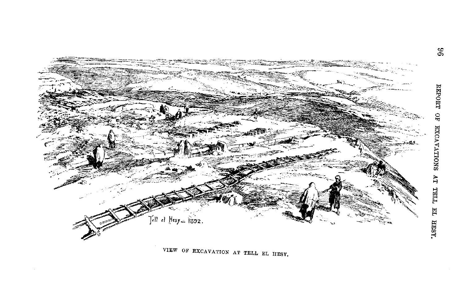

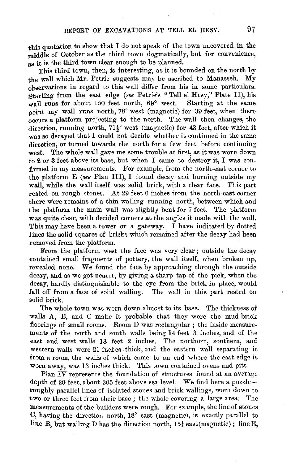this quotation to show that I do not speak of the town uncovered in the middle of October as the third town dogmatically, but for convenience, as it is the third town clear enough to be planned.

This third town, then, is interesting, as it is bounded on the north by the wall which Mr. Petrie suggests may be ascribed to Manasseh. My observations in regard to this wall differ from his in some particulars. Starting from the east edge *(see* Petrie's "Tell el Hesy," Plate II), his wall runs for about 150 feet north, 69° west. Starting at the same point my wall runs north, 78° west (magnetic) for 39 feet, when there occurs a platform projecting to the north. The wall then changes, the direction, running north,  $71\frac{1}{6}$  west (magnetic) for 43 feet, after which it was so decayed that I could not decide whether it continued in the same direction, or turned towards the north for a few feet before continuing west. The whole wall gave me some trouble at first, as it was worn down to 2 or 3 feet above its base, but when I came to destroy it, I was confirmed in my measurements. For example, from the north-east corner to the platform E *(see* Plan III), I found decay and burning outside my wall, while the wall itself was solid brick, with a clear face. This part rested on rough stones. At 29 feet 6 inches from the north-east corner there were remains of a thin walling running north, between which and the platform the main wall was slightly bent for 7 feet. The platform was quite clear, with decided corners at the angles it made with the wall. This may have been a tower or a gateway. I have indicated by dotted lines the solid squares of bricks which remained after the decay had been removed from the platform.

From the platform west the face was very clear; outside the decay contained small fragments of pottery, the wall itself, when broken up, revealed none. We found the face by approaching through the outside decay, and as we got nearer, by giving a sharp tap of the pick, when the decay, hardly distinguishable to the eye from the brick in place, would fall off from a face of solid walling. The wall in this part rested on solid brick.

The whole town was worn down almost to its base. The thickness of walls A, B, and C make it probable that they were the mud brick floorings of small rooms. Room D was rectangular ; the inside measurements of the north and south walls being 14 feet 3 inches, and of the east and west walls 13 ieet 2 inches. The northern, southern, and western walls were 21 inches thick, and the eastern wall separating it from a room, the walls of which came to an end where the east edge is worn away, was 13 inches thick. This town contained ovens and pits.

Plan IV represents the foundation of structures found at an average depth of 20 feet, about 305 feet above sea-level. We find here a puzzle- roughly parallel lines of isolated stones and brick wallings, worn down to two or three feet from their base; the whole covering a large area. The measurements of the builders were rough. For example, the line of stones C, having the direction north, 18° east (magnetic), is exactly parallel to line B, but walling D has the direction north,  $15\frac{1}{2}$  east(magnetic); line E,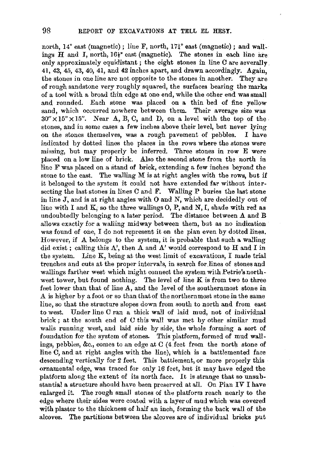north,  $14^{\circ}$  east (magnetic); line F, north,  $174^{\circ}$  east (magnetic); and wallings *H* and *I*, north,  $16\frac{1}{2}$  east (magnetic). The stones in each line are only approximately equidistant ; the eight stones in line C are severally 41, 43, 45, 43, 40, 41, and 42 inches apart, aud drawn accordingly. Again, the stones in one line are not opposite to the stones in another. They are of rough sandstone very roughly squared, the surfaces bearing the marks of a tool with a broad thin edge at one end, while the other end was small and rounded. Each stone was placed on a thin bed of fine yellow sand, which occurred nowhere between them. Their average size was  $30'' \times 15'' \times 15''$ . Near A, B, C, and D, on a level with the top of the stones, and in some cases a few inches above their level, but never lying on the stones themselves, was a rough pavement of pebbles. I have indicated by dotted lines the places in the rows where the stones were missing, but may properly be inferred. Three stones in row E were placed on a low line of brick. Also the second stone from the north in line F was placed on a stand of brick, extending a few inches beyond the stone to the east. The walling *M* is at right angles with the rows, but if it belonged to the system it could not have extended far without intersecting the last stones in lines C and F. Walling P buries the last stone in line J, and is at right angles with O and N, which are decidedly out of line with I and K, so the three wallings O, P, and N, I, shade with red as undoubtedly belonging to a later period. The distance between A and B allows exactly for a walling midway between them, but as no indication was found of one, I do not represent it on the plan even by dotted lines. However, if A belongs to the system, it is probable that such a walling did exist ; calling this  $A'$ , then  $A$  and  $A'$  would correspond to  $H$  and  $I$  in the system. Line K, being at the west limit of excavations, I made trial trenches and cuts at the proper intervals, in search for lines of stones and wallings farther west which might connect the system with Petrie's northwest tower, but found nothing. The level of line K is from two to three feet lower than that of line A, and the level of the southernmost stone in A is higher by a foot or so than that of the northernmost stone in the same line, so that the structure slopes down from south to north and from east to west. Under line Cran a thick wall of laid mud, not of individual brick ; at the south end of *()* this wall was met by other similar mud walls running west, and laid side by side, the whole forming a sort of foundation for the system of stones. This platform, formed of mud **wall**ings, pebbles, &c., comes to an edge at C (4feet from the north stone of line C, and at right angles with the line), which is **a** battlemented face descending vertically for 2 feet. This battlement, or more properly this ornamental edge, was traced for only 16 feet, but it may have edged the platform along the extent of its north face. It is strange that so unsubstantial a structure should have been preserved at all. On Plan IV I have enlarged it. The rough small stones of the platform reach nearly to the edge where their sides were coated with a layer of mud which was covered with plaster to the thickness of half an inch, forming the back wall of the alcoves. The partitions between the alcoves are of individual bricks put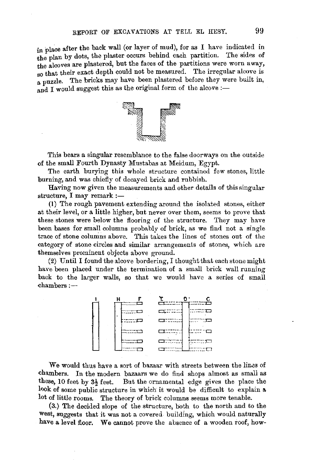in place after the back wall (or layer of mud), for as I have indicated in the plan by dots, the plaster occurs behind each partition. The sides of the alcoves are plastered, but the faces of the partitions were worn away, so that their exact depth could not be measured. The irregular alcove is a puzzle. The bricks may have been plastered before they were built **in,**  and I would suggest this as the original form of the alcove :-



This bears **a** singular resemblance to the false doorways on the outside **of** the small Fourth Dynasty Mustabas at Meidum, Egypt.

The earth burying this whole structure contained few stones, little burning, and was chiefly of decayed brick and rubbish.

Having now given the measurements and other details of this singular structure,  $I$  may remark :-

(1) The rough pavement extending around the isolated stones, either at their level, or a little higher, but never over them, seems to prove that these stones were below the flooring of the structure. They may have been bases for small columns probably of brick, as we find not a single trace of stone columns above. This takes the lines of stones out of the category of stone circles and similar arrangements of stones, which are themselves prominent objects above ground.

(2) Until I found the alcove bordering, I thought that each stone might have been placed under the termination of a small brick wall running back to the larger walls, so that we would have a series of small  $-$ chambers : $-$ 



We would thus have a sort of bazaar with streets between the lines of -chambers. In the modern bazaars we do find shops almost as small as these, 10 feet by  $3\frac{1}{2}$  feet. But the ornamental edge gives the place the look of some public structure in which it would be difficult to explain a lot of little rooms. The theory of brick columns seems more tenable.

(3.) The decided slope of the structure, both to the north and to the west, suggests that it was not a covered building, which would naturally have a level floor. We cannot prove the absence of a wooden roof, how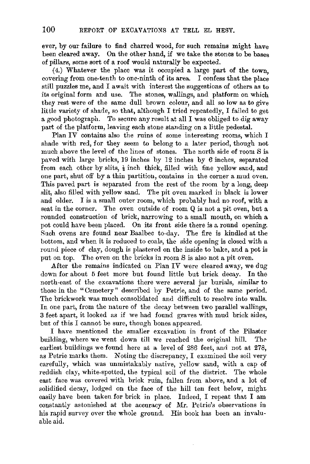ever, by our failure to find charred wood, for such remains might have been cleared away. On the other hand, if we take the stones to be bases of pillars, some sort of a roof would naturally be expected.

(4.) Whatever the place was it occupied a large part of the town, covering from one-tenth to one-ninth of its area. I confess that the place still puzzles me, and I await with interest the suggestions of others as to its original form and use. The stones, wallings, and platform on which they rest were of the same dull brown colour, and all so low as to give little variety of shade, so that, although I tried repeatedly, I failed to get a good photograph. To secure any result at all I was obliged to dig away part of the platform, leaving each stone standing on a little pedestal.

Plan IV contains also the ruins of some interestmg rooms, which I shade with red, for they seem to belong to a later period, though not much above the level of the lines of stones. The north side of room S is paved with large bricks, 19 inches by 12 inches by 6 inches, separated from each other by slits,  $\frac{1}{2}$  inch thick, filled with fine yellow sand, and one part, shut off by a thin partition, contains in the corner a mud oven. This paved part is separated from the rest of the room by a long, deep slit, also filled with yellow sand. The pit oven marked in black is lower and older. I is a small outer room, which probably had no roof, with a seat in the corner. The oven outside of room Q is not a pit oven, but a rounded construction of brick, narrowing to a small mouth, on which a pot could have been placed. On its front side there is a round opening. Such ovens are found near Baalbec to-day. The fire is kindled at the bottom, and when it is reduced to coals, the side opening is closed with a round piece of clay, dough is plastered on the inside to bake, and a pot is put on top. The oven on the bricks in room S is also not a pit oven.

.After the remains indicated on Plan IV were cleared away, we dug down for about 5 feet more but found little but brick decay. In the north-east of the excavations there were several jar burials, similar to those in the "Cemetery" described by Petrie, and of the same period. The brickwork was much consolidated and difficult to resolve into walls. In one part, from the nature of the decay between two parallel wallings, 3 feet apart, it looked as if we had found graves with mud brick sides, but of this I cannot be sure, though bones appeared.

I have mentioned the smaller excavation in front of the Pilaster building, where we went down till we reached the original hill. The earliest buildings we found here at a level of 286 feet, and not at 278, as Petrie marks them. Noting the discrepancy, I examined the soil very carefully, which was unmistakably native, yellow sand, with a cap of reddish clay, white-spotted, the typical soil of the district. The whole east face was covered with brick ruin, fallen from above, and a lot of solidified decay, lodged on the face of the hill ten feet below, might easily have been taken for brick in place. Indeed, I repeat that I am constantly astonished at the accuracy of Mr. Petrie's observations in his rapid survey over the whole ground. His book has been an invaluable aid.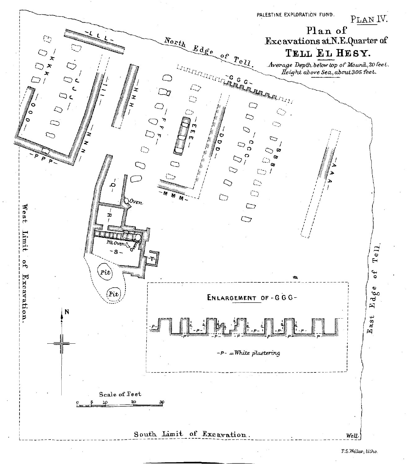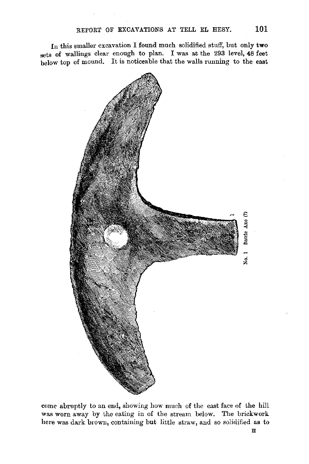In this smaller excavation I found much solidified stuff, but only **two**  sets of wallings clear enough to plan. I was at the 293 level, 48 feet below top of mound. It is noticeable that the walls running to the east



come abruptly to an end, showing how much of the east face of the hill was worn away by the eating in of the stream below. The brickwork here was dark brown, containing but little straw, and so solidified as to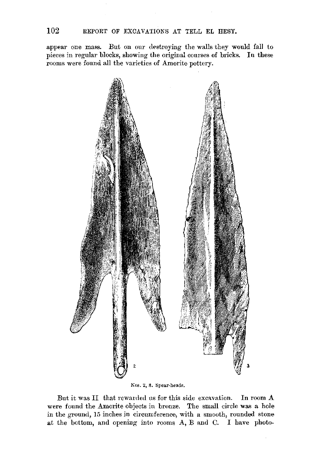appear one mass. But on our destroying the walls they would fall to pieces in regular blocks, showing the original courses of bricks. In these rooms were found all the varieties of Amorite pottery.



 $N$ os. 2, 3. Spear-heads.

But it was II that rewarded us for this side excavation. In room  $A$ were found the Amorite objects in bronze. The small circle was a hole in the ground, 15 inches in circumference, with a smooth, rounded stone at the bottom, and opening into rooms A, B and C. I have photo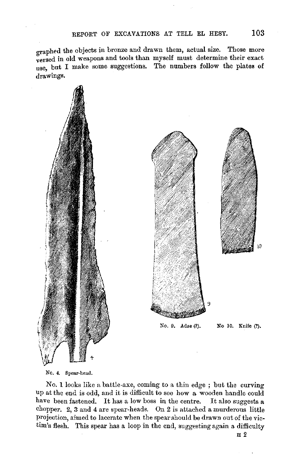graphed the objects in bronze and drawn them, actual size. Those more versed in old weapons and tools than myself must determine their exact use, but I make some suggestions. The numbers follow the plates of drawings.



No. 4. Spear-head.

No. I looks like a battle-axe, coming to a thin edge ; but the curving up at the end is odd, and it is difficult to see how a wooden handle could have been fastened. It has a low boss in the centre. It also suggests a chopper. 2, 3 and 4 are spear-heads. On 2 is attached a murderous little projection, aimed to lacerate when the spear should be drawn out of the victim's flesh. This spear has a loop in the end, suggesting again a difficulty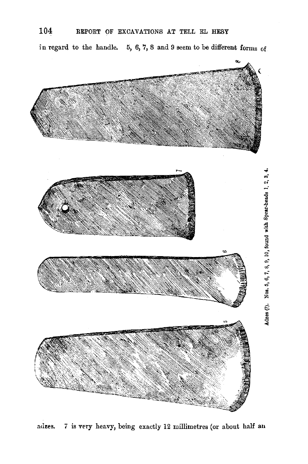in regard to the handle. 5, 6, 7, 8 and 9 seem to be different forms of



adzes. 7 is very heavy, being exactly 12 millimetres (or about half an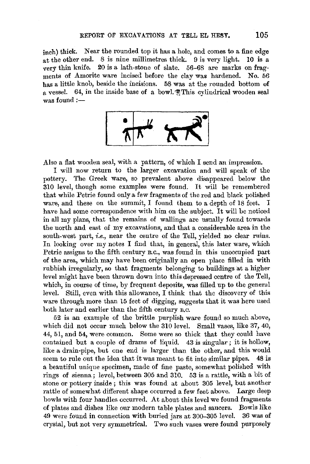inch) thick. Near the rounded top it has a hole, and comes to a fine edge at the other end.  $8$  is nine millimetres thick.  $9$  is very light.  $10$  is a at the other end.  $8$  is nine millimetres thick.  $9$  is very light. very thin knife. 20 is a lath-stone of slate. 56-68 are marks on fragments of Amorite ware incised before the clay was hardened. No. 56 has a little knob, beside the incisions. 58 was at the rounded bottom of a vessel. 64, in the inside base of a bowl.  $\mathcal{X}$ This cylindrical wooden seal was found: $-$ 



Also a flat wooden seal, with a pattern, of which I send an impression.

I will now return to the larger excavation and will speak of the pottery. The Greek ware, so prevalent above disappeared below the 310 level, though some examples were found. It will be remembered that while Petrie found only a few fragments of the red and black polished ware, and these on the summit, I found them to a depth of 18 feet. I have had some correspondence with him on the subject. It will be noticed in all my plans, that the remains of wallings are usually found towards the north and east of my excavations, and that a considerable area in the south-west part, *i.e.*, near the centre of the Tell, yielded no clear ruins. In looking over my notes I find that, in general, this later ware, which Petrie assigns to the fifth century B.c., was found in this unoccupied part of the area, which may have been origina1ly an open place filled in with rubbish irregularly, so that fragments belonging to buildings at a higher level might have been thrown down into this depressed centre of the Tell, which, in course of time, by frequent deposits, was filled up to the general level. Still, even with this allowance, I think that the discovery of this ware through more than 15 feet of digging, suggests that it was here used both later and earlier than the fifth century B.c.

52 is an example of the brittle purplish ware found so much above, which did not occur much below the 310 level. Small vases, like 37, 40, 44, 51, and 54, were common. Some were so thick that they could have contained but a couple of drams of liquid. 43 is singular; it is hollow, like a drain-pipe, but one end is farger than the other, and this would seem to rule out the idea that it was meant to fit into similar pipes. 48 is a beautiful unique specimen, made of fine paste, somewhat polished with rings of sienna; level, between 305 and 310. 53 is a rattle, with a bit of stone or pottery inside ; this was found at about 305 level, but another rattle of somewhat different shape occurred a few feet above. Large deep bowls with four handles occurred. At about this level we found fragments of plates and dishes like our modern table plates and saucers. Bowls like 49 were found in connection with buried jars at 300-305 level. 36 was of crystal, but not very symmetrical. Two such vases were found purposely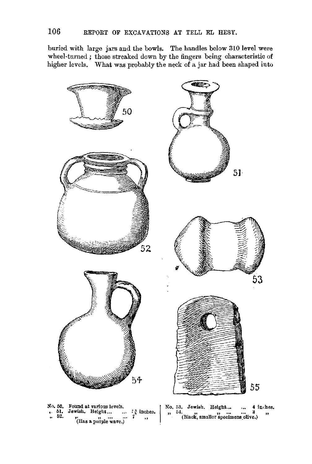buried with large jars and the bowls. The handles below 310 level were wheel-turned; those streaked down by the fingers being characteristic of higher levels. What was probably the neck of a jar had been shaped into

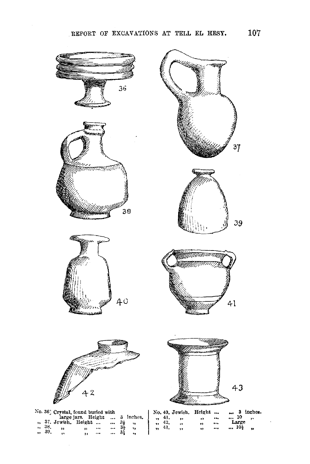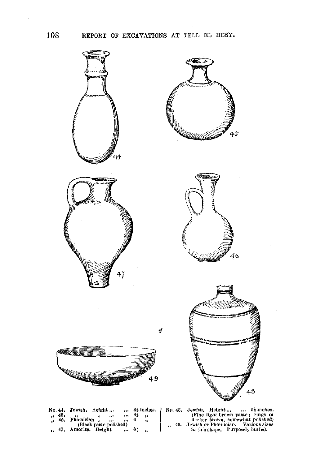





 $4\frac{1}{3}$  inches. No. 44. Jewish. Height...  $\vec{4}$ 43.  $\begin{array}{cccc}\n13. & 1 & \cdots & \cdots \\
45. & \text{Phcenician} & \cdots & \cdots \\
\text{(Black paste public)} & \cdots & \cdots \\
47. & \text{Amorite. Height} & \cdots\n\end{array}$ 45.  $\ddot{\phantom{a}}$ 'n  $5\frac{1}{2}$  $\cdots$ 



No. 48. Jewish. Height... ...  $\delta$ } inches.<br>
(Fine light brown paste; rings of<br>
darker brown, somewhat polished)<br>
,, 49. Jewish or Phoenician. Various sizes<br>
in this shape. Purposely buried.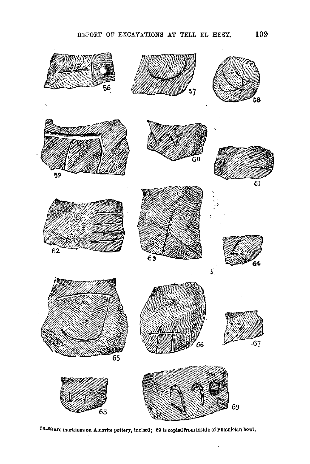

 $56-68$  are markings on Amorite pottery, incised;  $\,69$  is copied from inside of Phosnician bowl.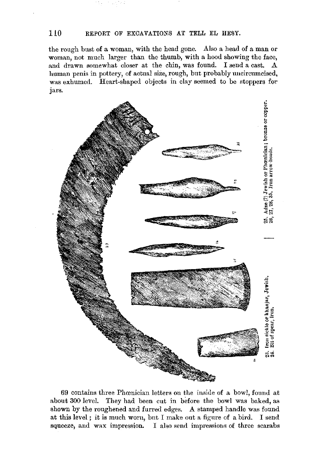the rough bust of a woman, with the head gone. Also a head of a man or woman, not much larger than the thumb, with a hood showing the face, and drawn somewhat closer at the chin, was found. I send a cast. A human penis in pottery, of actual size, rough, but probably uncircumcised, was exhumed. Heart-shaped objects in clay seemed to be stoppers for jars.



69 contains three Phcenician letters on the inside of a bowl, found at about 300 level. They had been cut in before the bowl was baked, as shown by the roughened and furred edges. A stamped handle was found at this level ; it is much worn, but I make out a figure of a bird. I send squeeze, and wax impression. I also send impressions of three scarabs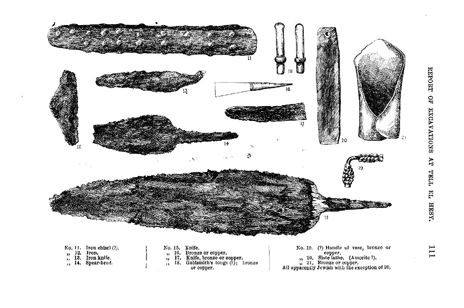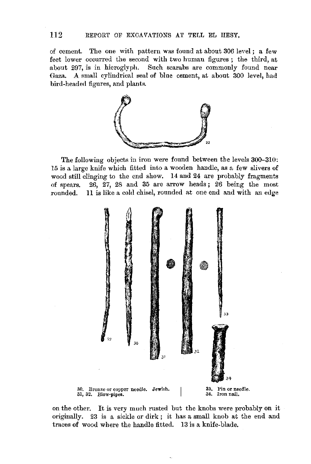of cement. The one with pattern was found at about 306 level; a few feet lower occurred the second with two human figures ; the third, at about 297, is in hieroglyph. Such scarabs are commonly found near Gaza. A small cylindrical seal of blue cement, at about 300 level, had bird-headed figures, and plants.



The following objects in iron were found between the levels 300-310: 15 is a large knife which fitted into a wooden handle, as a few slivers of wood still clinging to the end show. 14 and 24 are probably fragments of spears. 26, 27, 28 and 35 are arrow heads ; 26 being the most rounded. 11 is like a cold chisel, rounded at one end and with an edge



on the other. It is very much rusted but the knobs were probably on it originally. 23 is a sickle or dirk; it has a small knob at the end and traces of wood where the handle fitted. 13 is a knife-blade.